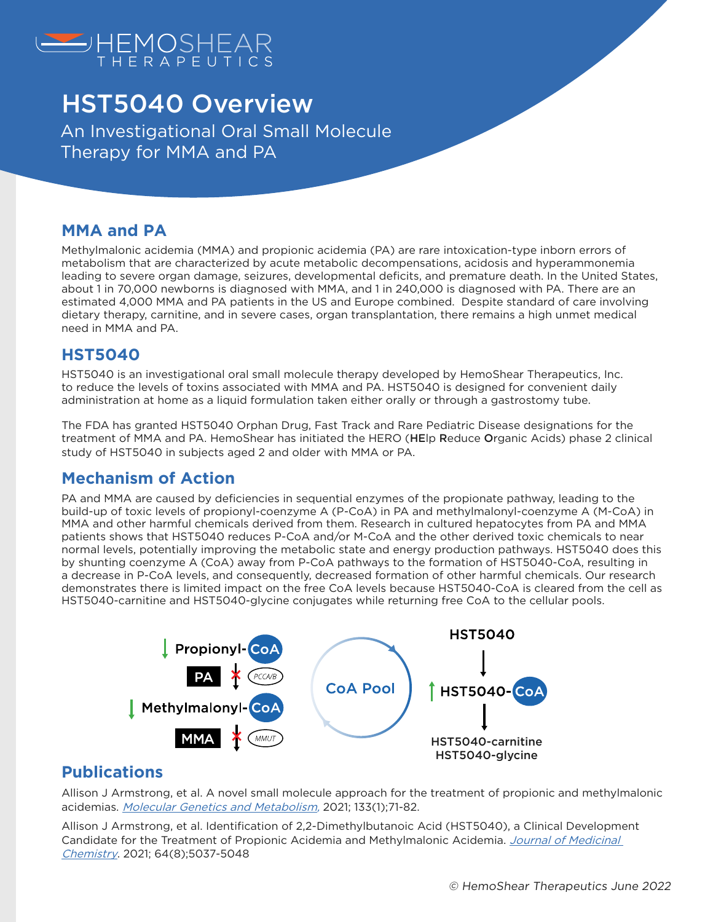

# HST5040 Overview

An Investigational Oral Small Molecule Therapy for MMA and PA

#### **MMA and PA**

Methylmalonic acidemia (MMA) and propionic acidemia (PA) are rare intoxication-type inborn errors of metabolism that are characterized by acute metabolic decompensations, acidosis and hyperammonemia leading to severe organ damage, seizures, developmental deficits, and premature death. In the United States, about 1 in 70,000 newborns is diagnosed with MMA, and 1 in 240,000 is diagnosed with PA. There are an estimated 4,000 MMA and PA patients in the US and Europe combined. Despite standard of care involving dietary therapy, carnitine, and in severe cases, organ transplantation, there remains a high unmet medical need in MMA and PA.

#### **HST5040**

HST5040 is an investigational oral small molecule therapy developed by HemoShear Therapeutics, Inc. to reduce the levels of toxins associated with MMA and PA. HST5040 is designed for convenient daily administration at home as a liquid formulation taken either orally or through a gastrostomy tube.

The FDA has granted HST5040 Orphan Drug, Fast Track and Rare Pediatric Disease designations for the treatment of MMA and PA. HemoShear has initiated the HERO (HEIp Reduce Organic Acids) phase 2 clinical study of HST5040 in subjects aged 2 and older with MMA or PA.

### **Mechanism of Action**

PA and MMA are caused by deficiencies in sequential enzymes of the propionate pathway, leading to the build-up of toxic levels of propionyl-coenzyme A (P-CoA) in PA and methylmalonyl-coenzyme A (M-CoA) in MMA and other harmful chemicals derived from them. Research in cultured hepatocytes from PA and MMA patients shows that HST5040 reduces P-CoA and/or M-CoA and the other derived toxic chemicals to near normal levels, potentially improving the metabolic state and energy production pathways. HST5040 does this by shunting coenzyme A (CoA) away from P-CoA pathways to the formation of HST5040-CoA, resulting in a decrease in P-CoA levels, and consequently, decreased formation of other harmful chemicals. Our research demonstrates there is limited impact on the free CoA levels because HST5040-CoA is cleared from the cell as HST5040-carnitine and HST5040-glycine conjugates while returning free CoA to the cellular pools.



### **Publications**

Allison J Armstrong, et al. A novel small molecule approach for the treatment of propionic and methylmalonic acidemias. *<u>[Molecular Genetics and Metabolism](https://www.sciencedirect.com/science/article/pii/S1096719221000573?via%3Dihub)</u>,* 2021; 133(1);71-82.

Allison J Armstrong, et al. Identification of 2,2-Dimethylbutanoic Acid (HST5040), a Clinical Development Candidate for the Treatment of Propionic Acidemia and Methylmalonic Acidemia. Journal of Medicinal [Chemistry](https://pubs.acs.org/doi/abs/10.1021/acs.jmedchem.1c00124). 2021; 64(8);5037-5048